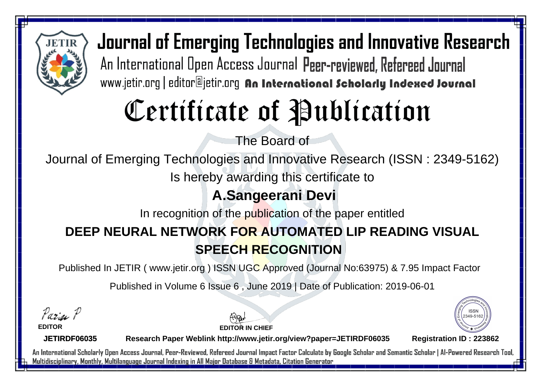

# Certificate of Publication

The Board of

Journal of Emerging Technologies and Innovative Research (ISSN : 2349-5162)

Is hereby awarding this certificate to

#### **A.Sangeerani Devi**

In recognition of the publication of the paper entitled

## **DEEP NEURAL NETWORK FOR AUTOMATED LIP READING VISUAL SPEECH RECOGNITION**

Published In JETIR ( www.jetir.org ) ISSN UGC Approved (Journal No: 63975) & 7.95 Impact Factor

Published in Volume 6 Issue 6 , June 2019 | Date of Publication: 2019-06-01

Parin P

**EDITOR**

**EDITOR IN CHIEF**



**JETIRDF06035**

**Research Paper Weblink http://www.jetir.org/view?paper=JETIRDF06035 Registration ID : 223862**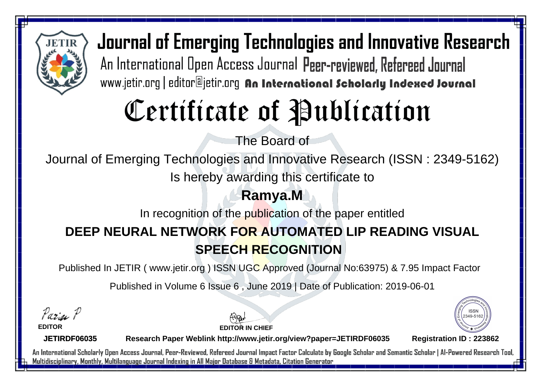

# Certificate of Publication

The Board of

Journal of Emerging Technologies and Innovative Research (ISSN : 2349-5162)

Is hereby awarding this certificate to

#### **Ramya.M**

In recognition of the publication of the paper entitled

## **DEEP NEURAL NETWORK FOR AUTOMATED LIP READING VISUAL SPEECH RECOGNITION**

Published In JETIR ( www.jetir.org ) ISSN UGC Approved (Journal No: 63975) & 7.95 Impact Factor

Published in Volume 6 Issue 6 , June 2019 | Date of Publication: 2019-06-01

Paris P

**EDITOR**

**EDITOR IN CHIEF**



**JETIRDF06035**

**Research Paper Weblink http://www.jetir.org/view?paper=JETIRDF06035 Registration ID : 223862**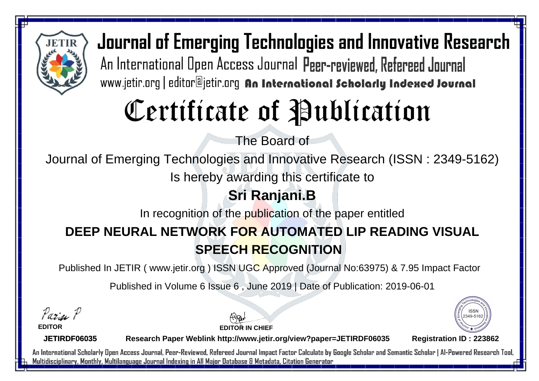

# Certificate of Publication

The Board of

Journal of Emerging Technologies and Innovative Research (ISSN : 2349-5162)

Is hereby awarding this certificate to

#### **Sri Ranjani.B**

In recognition of the publication of the paper entitled

## **DEEP NEURAL NETWORK FOR AUTOMATED LIP READING VISUAL SPEECH RECOGNITION**

Published In JETIR ( www.jetir.org ) ISSN UGC Approved (Journal No: 63975) & 7.95 Impact Factor

Published in Volume 6 Issue 6 , June 2019 | Date of Publication: 2019-06-01

Paris P

**EDITOR**

**EDITOR IN CHIEF**



**JETIRDF06035**

**Research Paper Weblink http://www.jetir.org/view?paper=JETIRDF06035 Registration ID : 223862**